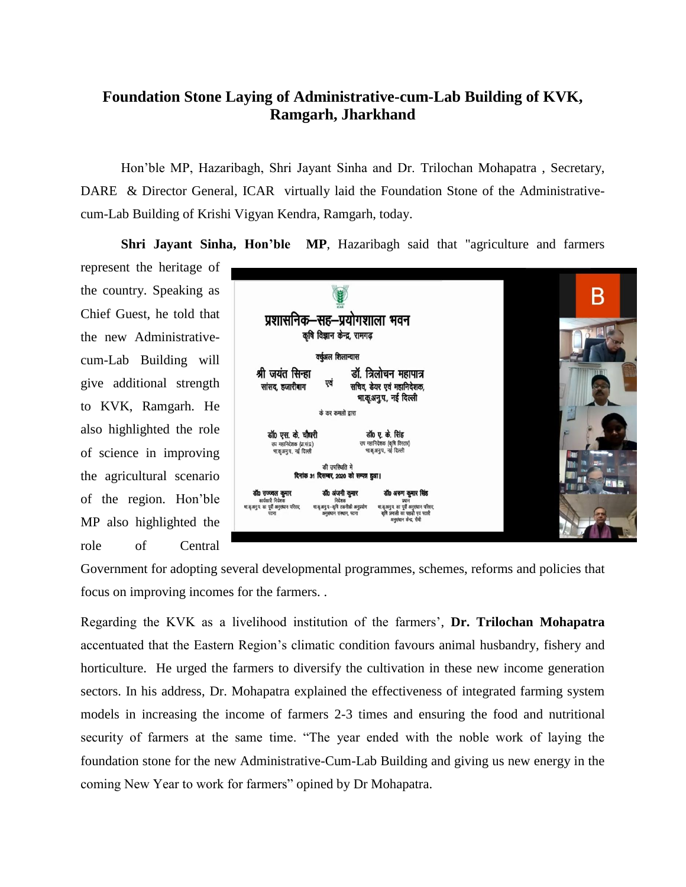## **Foundation Stone Laying of Administrative-cum-Lab Building of KVK, Ramgarh, Jharkhand**

Hon'ble MP, Hazaribagh, Shri Jayant Sinha and Dr. Trilochan Mohapatra , Secretary, DARE & Director General, ICAR virtually laid the Foundation Stone of the Administrativecum-Lab Building of Krishi Vigyan Kendra, Ramgarh, today.

**Shri Jayant Sinha, Hon'ble MP**, Hazaribagh said that "agriculture and farmers

represent the heritage of the country. Speaking as Chief Guest, he told that the new Administrativecum-Lab Building will give additional strength to KVK, Ramgarh. He also highlighted the role of science in improving the agricultural scenario of the region. Hon'ble MP also highlighted the role of Central



Government for adopting several developmental programmes, schemes, reforms and policies that focus on improving incomes for the farmers. .

Regarding the KVK as a livelihood institution of the farmers', **Dr. Trilochan Mohapatra** accentuated that the Eastern Region's climatic condition favours animal husbandry, fishery and horticulture. He urged the farmers to diversify the cultivation in these new income generation sectors. In his address, Dr. Mohapatra explained the effectiveness of integrated farming system models in increasing the income of farmers 2-3 times and ensuring the food and nutritional security of farmers at the same time. "The year ended with the noble work of laying the foundation stone for the new Administrative-Cum-Lab Building and giving us new energy in the coming New Year to work for farmers" opined by Dr Mohapatra.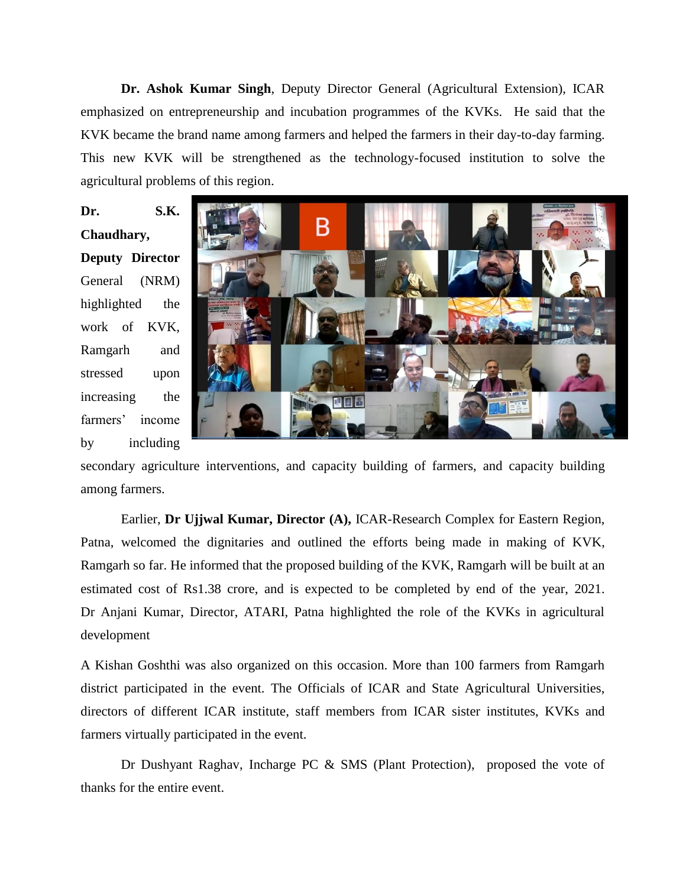**Dr. Ashok Kumar Singh**, Deputy Director General (Agricultural Extension), ICAR emphasized on entrepreneurship and incubation programmes of the KVKs. He said that the KVK became the brand name among farmers and helped the farmers in their day-to-day farming. This new KVK will be strengthened as the technology-focused institution to solve the agricultural problems of this region.

**Dr. S.K. Chaudhary, Deputy Director** General (NRM) highlighted the work of KVK, Ramgarh and stressed upon increasing the farmers' income by including



secondary agriculture interventions, and capacity building of farmers, and capacity building among farmers.

Earlier, **Dr Ujjwal Kumar, Director (A),** ICAR-Research Complex for Eastern Region, Patna, welcomed the dignitaries and outlined the efforts being made in making of KVK, Ramgarh so far. He informed that the proposed building of the KVK, Ramgarh will be built at an estimated cost of Rs1.38 crore, and is expected to be completed by end of the year, 2021. Dr Anjani Kumar, Director, ATARI, Patna highlighted the role of the KVKs in agricultural development

A Kishan Goshthi was also organized on this occasion. More than 100 farmers from Ramgarh district participated in the event. The Officials of ICAR and State Agricultural Universities, directors of different ICAR institute, staff members from ICAR sister institutes, KVKs and farmers virtually participated in the event.

Dr Dushyant Raghav, Incharge PC & SMS (Plant Protection), proposed the vote of thanks for the entire event.